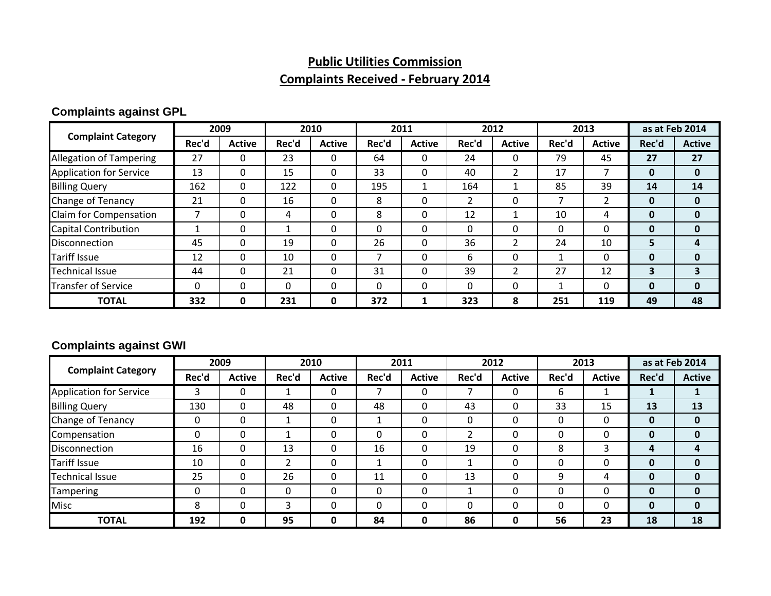### **Public Utilities Commission Complaints Received ‐ February 2014**

### **Complaints against GPL**

|                                |          | 2009          |       | 2010          |          | 2011          |       | 2012          |       | 2013          |       | as at Feb 2014 |
|--------------------------------|----------|---------------|-------|---------------|----------|---------------|-------|---------------|-------|---------------|-------|----------------|
| <b>Complaint Category</b>      | Rec'd    | <b>Active</b> | Rec'd | <b>Active</b> | Rec'd    | <b>Active</b> | Rec'd | <b>Active</b> | Rec'd | <b>Active</b> | Rec'd | <b>Active</b>  |
| <b>Allegation of Tampering</b> | 27       | 0             | 23    | 0             | 64       |               | 24    |               | 79    | 45            | 27    | 27             |
| <b>Application for Service</b> | 13       | 0             | 15    | 0             | 33       | $\Omega$      | 40    |               | 17    |               | 0     | $\mathbf{0}$   |
| <b>Billing Query</b>           | 162      | $\Omega$      | 122   | $\mathbf{0}$  | 195      |               | 164   |               | 85    | 39            | 14    | 14             |
| Change of Tenancy              | 21       | 0             | 16    | 0             | 8        | $\Omega$      |       | 0             |       |               | 0     | 0              |
| Claim for Compensation         |          | 0             | 4     | 0             | 8        | $\Omega$      | 12    |               | 10    | 4             | 0     | 0              |
| <b>Capital Contribution</b>    |          | 0             |       | 0             | $\Omega$ | $\Omega$      |       |               | 0     | 0             | 0     | 0              |
| <b>Disconnection</b>           | 45       | 0             | 19    | 0             | 26       |               | 36    |               | 24    | 10            | э     | 4              |
| Tariff Issue                   | 12       | 0             | 10    | 0             |          | $\Omega$      | 6     | 0             |       | 0             | 0     | $\Omega$       |
| <b>Technical Issue</b>         | 44       | 0             | 21    | $\mathbf{0}$  | 31       | $\Omega$      | 39    | 2             | 27    | 12            | 3     |                |
| <b>Transfer of Service</b>     | $\Omega$ | 0             | 0     | $\mathbf{0}$  | $\Omega$ | $\Omega$      |       | 0             |       | 0             | 0     | 0              |
| <b>TOTAL</b>                   | 332      | 0             | 231   | 0             | 372      |               | 323   | 8             | 251   | 119           | 49    | 48             |

### **Complaints against GWI**

|                                | 2009     |               | 2010     |               | 2011     |               | 2012  |               | 2013  |               | as at Feb 2014 |               |
|--------------------------------|----------|---------------|----------|---------------|----------|---------------|-------|---------------|-------|---------------|----------------|---------------|
| <b>Complaint Category</b>      | Rec'd    | <b>Active</b> | Rec'd    | <b>Active</b> | Rec'd    | <b>Active</b> | Rec'd | <b>Active</b> | Rec'd | <b>Active</b> | Rec'd          | <b>Active</b> |
| <b>Application for Service</b> | 3        | 0             |          | 0             |          |               |       | 0             | 6     |               |                |               |
| <b>Billing Query</b>           | 130      | $\Omega$      | 48       | $\Omega$      | 48       |               | 43    | 0             | 33    | 15            | 13             | 13            |
| Change of Tenancy              | 0        | 0             | ◢        | 0             |          |               |       | 0             |       | 0             | O              | $\mathbf{0}$  |
| Compensation                   | $\Omega$ | 0             |          | 0             | $\Omega$ |               |       | 0             |       | 0             | 0              | $\mathbf{0}$  |
| Disconnection                  | 16       | $\Omega$      | 13       | 0             | 16       | $\Omega$      | 19    | 0             | 8     | 3             | 4              | 4             |
| <b>Tariff Issue</b>            | 10       | 0             | າ        | 0             |          | 0             |       | 0             |       | 0             |                | $\mathbf{0}$  |
| <b>Technical Issue</b>         | 25       | 0             | 26       | 0             | 11       |               | 13    | 0             | 9     | 4             |                | $\mathbf{0}$  |
| Tampering                      | 0        | $\Omega$      | $\Omega$ | 0             | $\Omega$ | 0             |       | 0             |       | 0             | 0              | $\mathbf{0}$  |
| <b>Misc</b>                    | 8        | 0             | 3        | 0             | $\Omega$ | $\Omega$      |       | 0             |       | 0             | 0              | 0             |
| <b>TOTAL</b>                   | 192      | 0             | 95       | 0             | 84       | 0             | 86    | 0             | 56    | 23            | 18             | 18            |